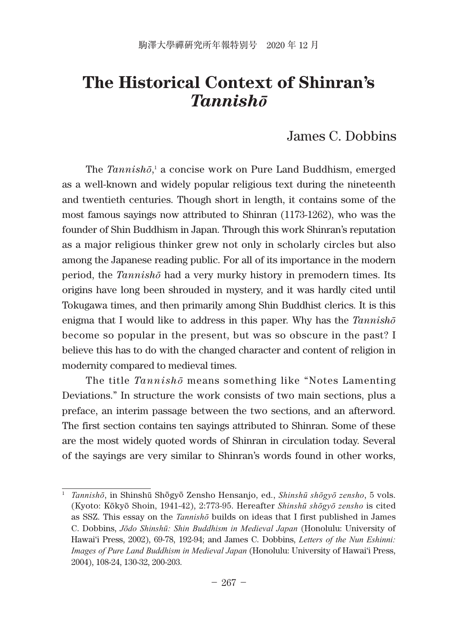## **The Historical Context of Shinran's**  *Tannishō*

## James C. Dobbins

The *Tannishō*,<sup>1</sup> a concise work on Pure Land Buddhism, emerged as a well-known and widely popular religious text during the nineteenth and twentieth centuries. Though short in length, it contains some of the most famous sayings now attributed to Shinran (1173-1262), who was the founder of Shin Buddhism in Japan. Through this work Shinran's reputation as a major religious thinker grew not only in scholarly circles but also among the Japanese reading public. For all of its importance in the modern period, the *Tannishō* had a very murky history in premodern times. Its origins have long been shrouded in mystery, and it was hardly cited until Tokugawa times, and then primarily among Shin Buddhist clerics. It is this enigma that I would like to address in this paper. Why has the *Tannishō* become so popular in the present, but was so obscure in the past? I believe this has to do with the changed character and content of religion in modernity compared to medieval times.

The title *Tannishō* means something like "Notes Lamenting Deviations." In structure the work consists of two main sections, plus a preface, an interim passage between the two sections, and an afterword. The first section contains ten sayings attributed to Shinran. Some of these are the most widely quoted words of Shinran in circulation today. Several of the sayings are very similar to Shinran's words found in other works,

<sup>1</sup> *Tannishō*, in Shinshū Shōgyō Zensho Hensanjo, ed., *Shinshū shōgyō zensho*, 5 vols. (Kyoto: Kōkyō Shoin, 1941-42), 2:773-95. Hereafter *Shinshū shōgyō zensho* is cited as SSZ. This essay on the *Tannishō* builds on ideas that I first published in James C. Dobbins, *Jōdo Shinshū: Shin Buddhism in Medieval Japan* (Honolulu: University of Hawai'i Press, 2002), 69-78, 192-94; and James C. Dobbins, *Letters of the Nun Eshinni: Images of Pure Land Buddhism in Medieval Japan* (Honolulu: University of Hawai'i Press, 2004), 108-24, 130-32, 200-203.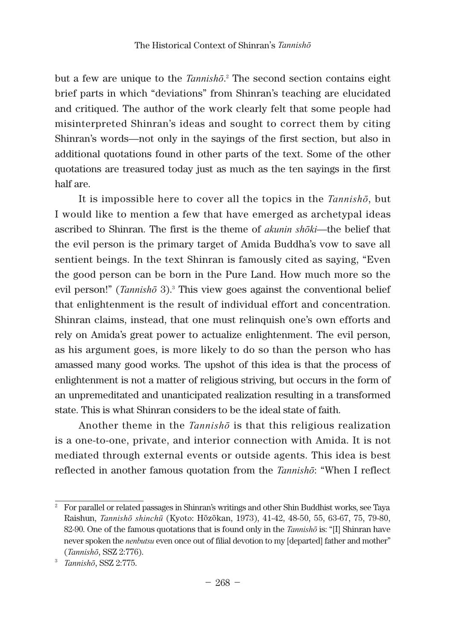but a few are unique to the *Tannishō*. 2 The second section contains eight brief parts in which "deviations" from Shinran's teaching are elucidated and critiqued. The author of the work clearly felt that some people had misinterpreted Shinran's ideas and sought to correct them by citing Shinran's words—not only in the sayings of the first section, but also in additional quotations found in other parts of the text. Some of the other quotations are treasured today just as much as the ten sayings in the first half are.

It is impossible here to cover all the topics in the *Tannishō*, but I would like to mention a few that have emerged as archetypal ideas ascribed to Shinran. The first is the theme of *akunin shōki*—the belief that the evil person is the primary target of Amida Buddha's vow to save all sentient beings. In the text Shinran is famously cited as saying, "Even the good person can be born in the Pure Land. How much more so the evil person!" (*Tannishō* 3).<sup>3</sup> This view goes against the conventional belief that enlightenment is the result of individual effort and concentration. Shinran claims, instead, that one must relinquish one's own efforts and rely on Amida's great power to actualize enlightenment. The evil person, as his argument goes, is more likely to do so than the person who has amassed many good works. The upshot of this idea is that the process of enlightenment is not a matter of religious striving, but occurs in the form of an unpremeditated and unanticipated realization resulting in a transformed state. This is what Shinran considers to be the ideal state of faith.

Another theme in the *Tannishō* is that this religious realization is a one-to-one, private, and interior connection with Amida. It is not mediated through external events or outside agents. This idea is best reflected in another famous quotation from the *Tannishō*: "When I reflect

<sup>&</sup>lt;sup>2</sup> For parallel or related passages in Shinran's writings and other Shin Buddhist works, see Taya Raishun, *Tannishō shinchū* (Kyoto: Hōzōkan, 1973), 41-42, 48-50, 55, 63-67, 75, 79-80, 82-90. One of the famous quotations that is found only in the *Tannishō* is: "[I] Shinran have never spoken the *nenbutsu* even once out of filial devotion to my [departed] father and mother" (*Tannishō*, SSZ 2:776).

<sup>3</sup> *Tannishō*, SSZ 2:775.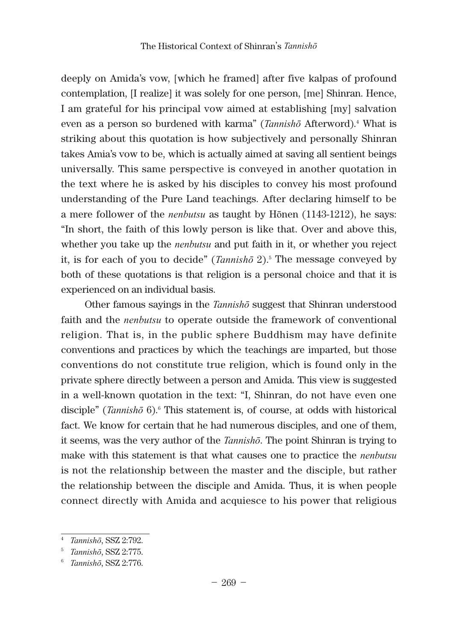deeply on Amida's vow, [which he framed] after five kalpas of profound contemplation, [I realize] it was solely for one person, [me] Shinran. Hence, I am grateful for his principal vow aimed at establishing [my] salvation even as a person so burdened with karma" (*Tannishō* Afterword).<sup>4</sup> What is striking about this quotation is how subjectively and personally Shinran takes Amia's vow to be, which is actually aimed at saving all sentient beings universally. This same perspective is conveyed in another quotation in the text where he is asked by his disciples to convey his most profound understanding of the Pure Land teachings. After declaring himself to be a mere follower of the *nenbutsu* as taught by Hōnen (1143-1212), he says: "In short, the faith of this lowly person is like that. Over and above this, whether you take up the *nenbutsu* and put faith in it, or whether you reject it, is for each of you to decide" (*Tannishō* 2).<sup>5</sup> The message conveyed by both of these quotations is that religion is a personal choice and that it is experienced on an individual basis.

Other famous sayings in the *Tannishō* suggest that Shinran understood faith and the *nenbutsu* to operate outside the framework of conventional religion. That is, in the public sphere Buddhism may have definite conventions and practices by which the teachings are imparted, but those conventions do not constitute true religion, which is found only in the private sphere directly between a person and Amida. This view is suggested in a well-known quotation in the text: "I, Shinran, do not have even one disciple" (*Tannishō* 6).<sup>6</sup> This statement is, of course, at odds with historical fact. We know for certain that he had numerous disciples, and one of them, it seems, was the very author of the *Tannishō*. The point Shinran is trying to make with this statement is that what causes one to practice the *nenbutsu* is not the relationship between the master and the disciple, but rather the relationship between the disciple and Amida. Thus, it is when people connect directly with Amida and acquiesce to his power that religious

<sup>4</sup> *Tannishō*, SSZ 2:792.

<sup>5</sup> *Tannishō*, SSZ 2:775.

<sup>6</sup> *Tannishō*, SSZ 2:776.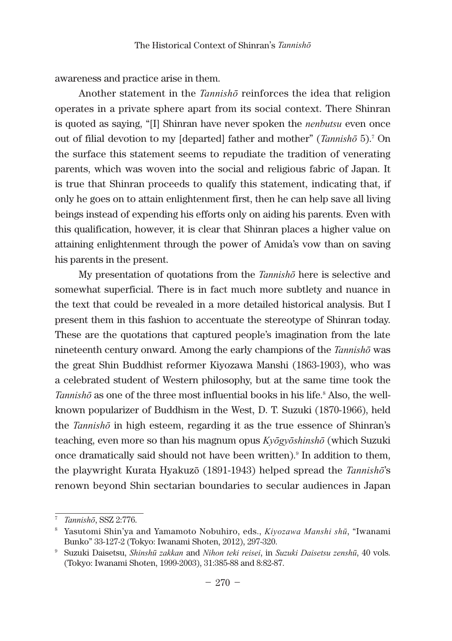awareness and practice arise in them.

Another statement in the *Tannishō* reinforces the idea that religion operates in a private sphere apart from its social context. There Shinran is quoted as saying, "[I] Shinran have never spoken the *nenbutsu* even once out of filial devotion to my [departed] father and mother" (*Tannishō* 5).<sup>7</sup> On the surface this statement seems to repudiate the tradition of venerating parents, which was woven into the social and religious fabric of Japan. It is true that Shinran proceeds to qualify this statement, indicating that, if only he goes on to attain enlightenment first, then he can help save all living beings instead of expending his efforts only on aiding his parents. Even with this qualification, however, it is clear that Shinran places a higher value on attaining enlightenment through the power of Amida's vow than on saving his parents in the present.

My presentation of quotations from the *Tannishō* here is selective and somewhat superficial. There is in fact much more subtlety and nuance in the text that could be revealed in a more detailed historical analysis. But I present them in this fashion to accentuate the stereotype of Shinran today. These are the quotations that captured people's imagination from the late nineteenth century onward. Among the early champions of the *Tannishō* was the great Shin Buddhist reformer Kiyozawa Manshi (1863-1903), who was a celebrated student of Western philosophy, but at the same time took the Tannishō as one of the three most influential books in his life.<sup>8</sup> Also, the wellknown popularizer of Buddhism in the West, D. T. Suzuki (1870-1966), held the *Tannishō* in high esteem, regarding it as the true essence of Shinran's teaching, even more so than his magnum opus *Kyōgyōshinshō* (which Suzuki once dramatically said should not have been written).<sup>9</sup> In addition to them, the playwright Kurata Hyakuzō (1891-1943) helped spread the *Tannishō*'s renown beyond Shin sectarian boundaries to secular audiences in Japan

<sup>7</sup> *Tannishō*, SSZ 2:776.

<sup>8</sup> Yasutomi Shin'ya and Yamamoto Nobuhiro, eds., *Kiyozawa Manshi shū*, "Iwanami Bunko" 33-127-2 (Tokyo: Iwanami Shoten, 2012), 297-320.

<sup>9</sup> Suzuki Daisetsu, *Shinshū zakkan* and *Nihon teki reisei*, in *Suzuki Daisetsu zenshū*, 40 vols. (Tokyo: Iwanami Shoten, 1999-2003), 31:385-88 and 8:82-87.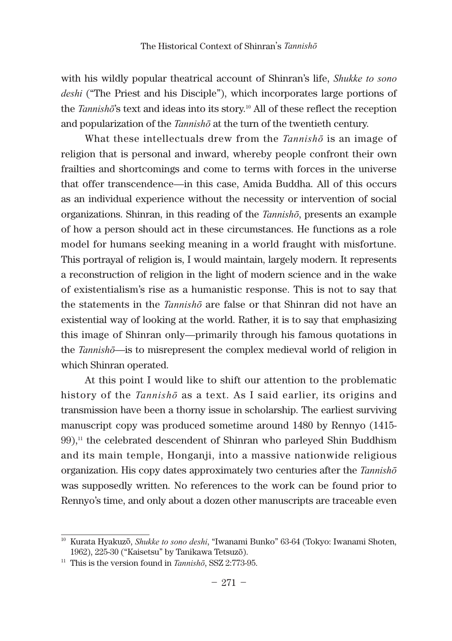with his wildly popular theatrical account of Shinran's life, *Shukke to sono deshi* ("The Priest and his Disciple"), which incorporates large portions of the *Tannishō*'s text and ideas into its story.<sup>10</sup> All of these reflect the reception and popularization of the *Tannishō* at the turn of the twentieth century.

What these intellectuals drew from the *Tannishō* is an image of religion that is personal and inward, whereby people confront their own frailties and shortcomings and come to terms with forces in the universe that offer transcendence—in this case, Amida Buddha. All of this occurs as an individual experience without the necessity or intervention of social organizations. Shinran, in this reading of the *Tannishō*, presents an example of how a person should act in these circumstances. He functions as a role model for humans seeking meaning in a world fraught with misfortune. This portrayal of religion is, I would maintain, largely modern. It represents a reconstruction of religion in the light of modern science and in the wake of existentialism's rise as a humanistic response. This is not to say that the statements in the *Tannishō* are false or that Shinran did not have an existential way of looking at the world. Rather, it is to say that emphasizing this image of Shinran only—primarily through his famous quotations in the *Tannishō*—is to misrepresent the complex medieval world of religion in which Shinran operated.

At this point I would like to shift our attention to the problematic history of the *Tannishō* as a text. As I said earlier, its origins and transmission have been a thorny issue in scholarship. The earliest surviving manuscript copy was produced sometime around 1480 by Rennyo (1415-  $99$ ),<sup>11</sup> the celebrated descendent of Shinran who parleyed Shin Buddhism and its main temple, Honganji, into a massive nationwide religious organization. His copy dates approximately two centuries after the *Tannishō*  was supposedly written. No references to the work can be found prior to Rennyo's time, and only about a dozen other manuscripts are traceable even

<sup>10</sup> Kurata Hyakuzō, *Shukke to sono deshi*, "Iwanami Bunko" 63-64 (Tokyo: Iwanami Shoten, 1962), 225-30 ("Kaisetsu" by Tanikawa Tetsuzō).

<sup>11</sup> This is the version found in *Tannishō*, SSZ 2:773-95.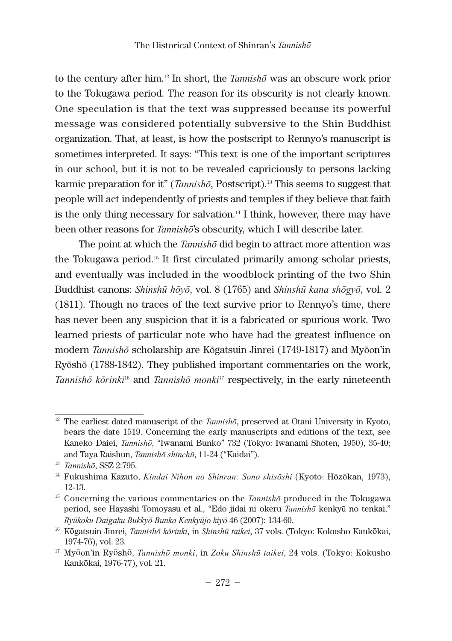to the century after him.12 In short, the *Tannishō* was an obscure work prior to the Tokugawa period. The reason for its obscurity is not clearly known. One speculation is that the text was suppressed because its powerful message was considered potentially subversive to the Shin Buddhist organization. That, at least, is how the postscript to Rennyo's manuscript is sometimes interpreted. It says: "This text is one of the important scriptures in our school, but it is not to be revealed capriciously to persons lacking karmic preparation for it" (*Tannishō*, Postscript).13 This seems to suggest that people will act independently of priests and temples if they believe that faith is the only thing necessary for salvation.14 I think, however, there may have been other reasons for *Tannishō*'s obscurity, which I will describe later.

The point at which the *Tannishō* did begin to attract more attention was the Tokugawa period.15 It first circulated primarily among scholar priests, and eventually was included in the woodblock printing of the two Shin Buddhist canons: *Shinshū hōyō*, vol. 8 (1765) and *Shinshū kana shōgyō*, vol. 2 (1811). Though no traces of the text survive prior to Rennyo's time, there has never been any suspicion that it is a fabricated or spurious work. Two learned priests of particular note who have had the greatest influence on modern *Tannishō* scholarship are Kōgatsuin Jinrei (1749-1817) and Myōon'in Ryōshō (1788-1842). They published important commentaries on the work, *Tannishō kōrinki*16 and *Tannishō monki*17 respectively, in the early nineteenth

 $12$  The earliest dated manuscript of the *Tannishō*, preserved at Otani University in Kyoto, bears the date 1519. Concerning the early manuscripts and editions of the text, see Kaneko Daiei, *Tannishō*, "Iwanami Bunko" 732 (Tokyo: Iwanami Shoten, 1950), 35-40; and Taya Raishun, *Tannishō shinchū*, 11-24 ("Kaidai").

<sup>13</sup> *Tannishō*, SSZ 2:795.

<sup>14</sup> Fukushima Kazuto, *Kindai Nihon no Shinran: Sono shisōshi* (Kyoto: Hōzōkan, 1973), 12-13.

<sup>15</sup> Concerning the various commentaries on the *Tannishō* produced in the Tokugawa period, see Hayashi Tomoyasu et al., "Edo jidai ni okeru *Tannishō* kenkyū no tenkai," *Ryūkoku Daigaku Bukkyō Bunka Kenkyūjo kiyō* 46 (2007): 134-60.

<sup>16</sup> Kōgatsuin Jinrei, *Tannishō kōrinki*, in *Shinshū taikei*, 37 vols. (Tokyo: Kokusho Kankōkai, 1974-76), vol. 23.

<sup>17</sup> Myōon'in Ryōshō, *Tannishō monki*, in *Zoku Shinshū taikei*, 24 vols. (Tokyo: Kokusho Kankōkai, 1976-77), vol. 21.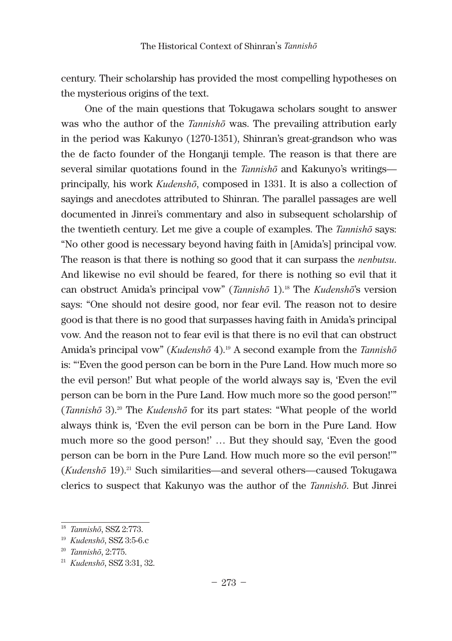century. Their scholarship has provided the most compelling hypotheses on the mysterious origins of the text.

One of the main questions that Tokugawa scholars sought to answer was who the author of the *Tannishō* was. The prevailing attribution early in the period was Kakunyo (1270-1351), Shinran's great-grandson who was the de facto founder of the Honganji temple. The reason is that there are several similar quotations found in the *Tannishō* and Kakunyo's writings principally, his work *Kudenshō*, composed in 1331. It is also a collection of sayings and anecdotes attributed to Shinran. The parallel passages are well documented in Jinrei's commentary and also in subsequent scholarship of the twentieth century. Let me give a couple of examples. The *Tannishō* says: "No other good is necessary beyond having faith in [Amida's] principal vow. The reason is that there is nothing so good that it can surpass the *nenbutsu*. And likewise no evil should be feared, for there is nothing so evil that it can obstruct Amida's principal vow" (*Tannishō* 1).18 The *Kudenshō*'s version says: "One should not desire good, nor fear evil. The reason not to desire good is that there is no good that surpasses having faith in Amida's principal vow. And the reason not to fear evil is that there is no evil that can obstruct Amida's principal vow" (*Kudenshō* 4).19 A second example from the *Tannishō* is: "'Even the good person can be born in the Pure Land. How much more so the evil person!' But what people of the world always say is, 'Even the evil person can be born in the Pure Land. How much more so the good person!'" (*Tannishō* 3).20 The *Kudenshō* for its part states: "What people of the world always think is, 'Even the evil person can be born in the Pure Land. How much more so the good person!' … But they should say, 'Even the good person can be born in the Pure Land. How much more so the evil person!'" (*Kudenshō* 19).21 Such similarities—and several others—caused Tokugawa clerics to suspect that Kakunyo was the author of the *Tannishō*. But Jinrei

<sup>18</sup> *Tannishō*, SSZ 2:773.

<sup>19</sup> *Kudenshō*, SSZ 3:5-6.c

<sup>20</sup> *Tannishō*, 2:775.

<sup>21</sup> *Kudenshō*, SSZ 3:31, 32.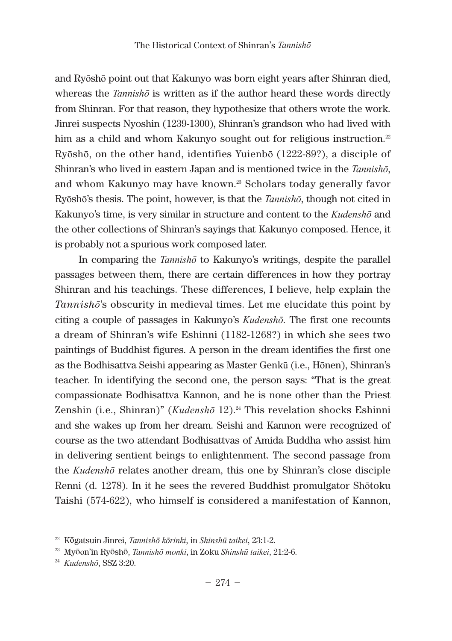and Ryōshō point out that Kakunyo was born eight years after Shinran died, whereas the *Tannishō* is written as if the author heard these words directly from Shinran. For that reason, they hypothesize that others wrote the work. Jinrei suspects Nyoshin (1239-1300), Shinran's grandson who had lived with him as a child and whom Kakunyo sought out for religious instruction.<sup>22</sup> Ryōshō, on the other hand, identifies Yuienbō (1222-89?), a disciple of Shinran's who lived in eastern Japan and is mentioned twice in the *Tannishō*, and whom Kakunyo may have known.<sup>23</sup> Scholars today generally favor Ryōshō's thesis. The point, however, is that the *Tannishō*, though not cited in Kakunyo's time, is very similar in structure and content to the *Kudenshō* and the other collections of Shinran's sayings that Kakunyo composed. Hence, it is probably not a spurious work composed later.

In comparing the *Tannishō* to Kakunyo's writings, despite the parallel passages between them, there are certain differences in how they portray Shinran and his teachings. These differences, I believe, help explain the *Tannishō*'s obscurity in medieval times. Let me elucidate this point by citing a couple of passages in Kakunyo's *Kudenshō*. The first one recounts a dream of Shinran's wife Eshinni (1182-1268?) in which she sees two paintings of Buddhist figures. A person in the dream identifies the first one as the Bodhisattva Seishi appearing as Master Genkū (i.e., Hōnen), Shinran's teacher. In identifying the second one, the person says: "That is the great compassionate Bodhisattva Kannon, and he is none other than the Priest Zenshin (i.e., Shinran)" (*Kudenshō* 12).<sup>24</sup> This revelation shocks Eshinni and she wakes up from her dream. Seishi and Kannon were recognized of course as the two attendant Bodhisattvas of Amida Buddha who assist him in delivering sentient beings to enlightenment. The second passage from the *Kudenshō* relates another dream, this one by Shinran's close disciple Renni (d. 1278). In it he sees the revered Buddhist promulgator Shōtoku Taishi (574-622), who himself is considered a manifestation of Kannon,

<sup>22</sup> Kōgatsuin Jinrei, *Tannishō kōrinki*, in *Shinshū taikei*, 23:1-2.

<sup>23</sup> Myōon'in Ryōshō, *Tannishō monki*, in Zoku *Shinshū taikei*, 21:2-6.

<sup>24</sup> *Kudenshō*, SSZ 3:20.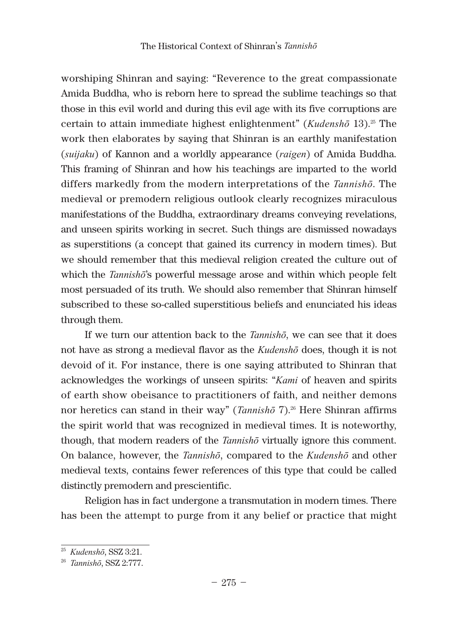worshiping Shinran and saying: "Reverence to the great compassionate Amida Buddha, who is reborn here to spread the sublime teachings so that those in this evil world and during this evil age with its five corruptions are certain to attain immediate highest enlightenment" (*Kudenshō* 13).25 The work then elaborates by saying that Shinran is an earthly manifestation (*suijaku*) of Kannon and a worldly appearance (*raigen*) of Amida Buddha. This framing of Shinran and how his teachings are imparted to the world differs markedly from the modern interpretations of the *Tannishō*. The medieval or premodern religious outlook clearly recognizes miraculous manifestations of the Buddha, extraordinary dreams conveying revelations, and unseen spirits working in secret. Such things are dismissed nowadays as superstitions (a concept that gained its currency in modern times). But we should remember that this medieval religion created the culture out of which the *Tannishō*'s powerful message arose and within which people felt most persuaded of its truth. We should also remember that Shinran himself subscribed to these so-called superstitious beliefs and enunciated his ideas through them.

If we turn our attention back to the *Tannishō*, we can see that it does not have as strong a medieval flavor as the *Kudenshō* does, though it is not devoid of it. For instance, there is one saying attributed to Shinran that acknowledges the workings of unseen spirits: "*Kami* of heaven and spirits of earth show obeisance to practitioners of faith, and neither demons nor heretics can stand in their way" (*Tannishō* 7).<sup>26</sup> Here Shinran affirms the spirit world that was recognized in medieval times. It is noteworthy, though, that modern readers of the *Tannishō* virtually ignore this comment. On balance, however, the *Tannishō*, compared to the *Kudenshō* and other medieval texts, contains fewer references of this type that could be called distinctly premodern and prescientific.

Religion has in fact undergone a transmutation in modern times. There has been the attempt to purge from it any belief or practice that might

<sup>25</sup> *Kudenshō*, SSZ 3:21.

<sup>26</sup> *Tannishō*, SSZ 2:777.